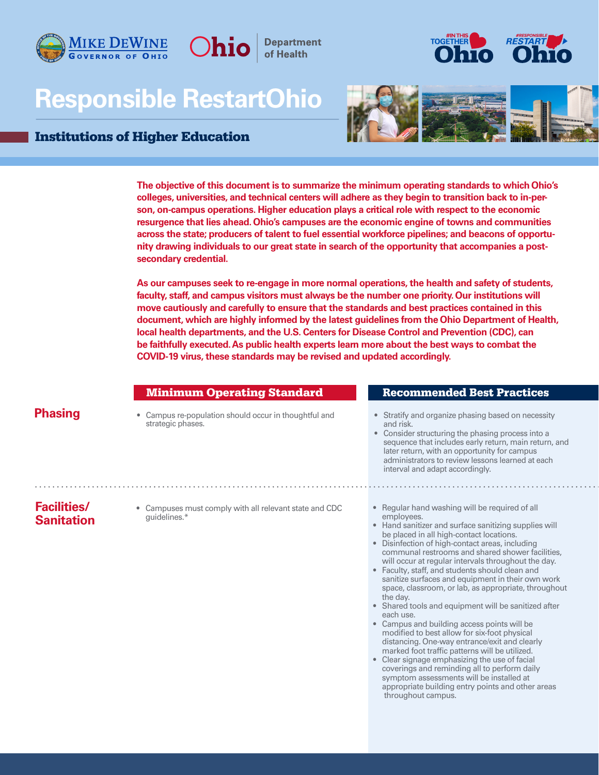

# **Responsible RestartOhio**

Ohio

**Department** 

#### Institutions of Higher Education





**The objective of this document is to summarize the minimum operating standards to which Ohio's colleges, universities, and technical centers will adhere as they begin to transition back to in-person, on-campus operations. Higher education plays a critical role with respect to the economic resurgence that lies ahead. Ohio's campuses are the economic engine of towns and communities across the state; producers of talent to fuel essential workforce pipelines; and beacons of opportunity drawing individuals to our great state in search of the opportunity that accompanies a postsecondary credential.**

**As our campuses seek to re-engage in more normal operations, the health and safety of students, faculty, staff, and campus visitors must always be the number one priority. Our institutions will move cautiously and carefully to ensure that the standards and best practices contained in this document, which are highly informed by the latest guidelines from the Ohio Department of Health, local health departments, and the U.S. Centers for Disease Control and Prevention (CDC), can be faithfully executed. As public health experts learn more about the best ways to combat the COVID-19 virus, these standards may be revised and updated accordingly.** 

## **Phasing**

• Campus re-population should occur in thoughtful and **•** Stratify and organize phasing based on necessity<br>strategic phases.

#### **Minimum Operating Standard Recommended Best Practices**

and risk.

• Consider structuring the phasing process into a sequence that includes early return, main return, and later return, with an opportunity for campus administrators to review lessons learned at each interval and adapt accordingly.

## **Facilities/ Sanitation**

- Campuses must comply with all relevant state and CDC guidelines.\*
- Regular hand washing will be required of all employees.
- Hand sanitizer and surface sanitizing supplies will be placed in all high-contact locations.
- Disinfection of high-contact areas, including communal restrooms and shared shower facilities, will occur at regular intervals throughout the day.
- Faculty, staff, and students should clean and sanitize surfaces and equipment in their own work space, classroom, or lab, as appropriate, throughout the day.
- Shared tools and equipment will be sanitized after each use.
- Campus and building access points will be modified to best allow for six-foot physical distancing. One-way entrance/exit and clearly marked foot traffic patterns will be utilized.
- Clear signage emphasizing the use of facial coverings and reminding all to perform daily symptom assessments will be installed at appropriate building entry points and other areas throughout campus.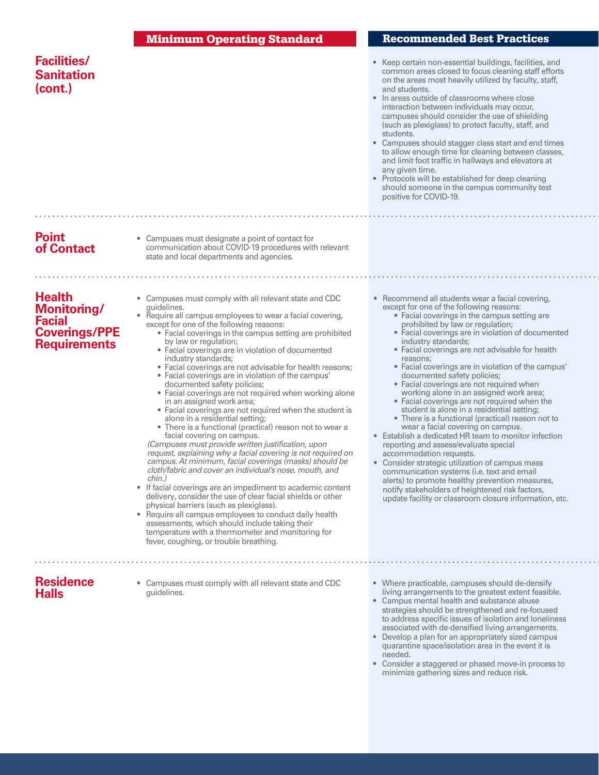|                                                                                              | <b>Minimum Operating Standard</b>                                                                                                                                                                                                                                                                                                                                                                                                                                                                                                                                                                                                                                                                                                                                                                                                                                                                                                                                                                                                                                                                                                                                                                                                                                                                                                                                                                                          | <b>Recommended Best Practices</b>                                                                                                                                                                                                                                                                                                                                                                                                                                                                                                                                                                                                                                                                                                                                                                                                                                                                                                                                                                                                                                                            |
|----------------------------------------------------------------------------------------------|----------------------------------------------------------------------------------------------------------------------------------------------------------------------------------------------------------------------------------------------------------------------------------------------------------------------------------------------------------------------------------------------------------------------------------------------------------------------------------------------------------------------------------------------------------------------------------------------------------------------------------------------------------------------------------------------------------------------------------------------------------------------------------------------------------------------------------------------------------------------------------------------------------------------------------------------------------------------------------------------------------------------------------------------------------------------------------------------------------------------------------------------------------------------------------------------------------------------------------------------------------------------------------------------------------------------------------------------------------------------------------------------------------------------------|----------------------------------------------------------------------------------------------------------------------------------------------------------------------------------------------------------------------------------------------------------------------------------------------------------------------------------------------------------------------------------------------------------------------------------------------------------------------------------------------------------------------------------------------------------------------------------------------------------------------------------------------------------------------------------------------------------------------------------------------------------------------------------------------------------------------------------------------------------------------------------------------------------------------------------------------------------------------------------------------------------------------------------------------------------------------------------------------|
| <b>Facilities/</b><br><b>Sanitation</b><br>(cont.)                                           |                                                                                                                                                                                                                                                                                                                                                                                                                                                                                                                                                                                                                                                                                                                                                                                                                                                                                                                                                                                                                                                                                                                                                                                                                                                                                                                                                                                                                            | • Keep certain non-essential buildings, facilities, and<br>common areas closed to focus cleaning staff efforts<br>on the areas most heavily utilized by faculty, staff,<br>and students.<br>• In areas outside of classrooms where close<br>interaction between individuals may occur,<br>campuses should consider the use of shielding<br>(such as plexiglass) to protect faculty, staff, and<br>students.<br>• Campuses should stagger class start and end times<br>to allow enough time for cleaning between classes,<br>and limit foot traffic in hallways and elevators at<br>any given time.<br>• Protocols will be established for deep cleaning<br>should someone in the campus community test<br>positive for COVID-19.                                                                                                                                                                                                                                                                                                                                                             |
|                                                                                              |                                                                                                                                                                                                                                                                                                                                                                                                                                                                                                                                                                                                                                                                                                                                                                                                                                                                                                                                                                                                                                                                                                                                                                                                                                                                                                                                                                                                                            |                                                                                                                                                                                                                                                                                                                                                                                                                                                                                                                                                                                                                                                                                                                                                                                                                                                                                                                                                                                                                                                                                              |
| <b>Point</b><br>of Contact                                                                   | • Campuses must designate a point of contact for<br>communication about COVID-19 procedures with relevant<br>state and local departments and agencies.                                                                                                                                                                                                                                                                                                                                                                                                                                                                                                                                                                                                                                                                                                                                                                                                                                                                                                                                                                                                                                                                                                                                                                                                                                                                     |                                                                                                                                                                                                                                                                                                                                                                                                                                                                                                                                                                                                                                                                                                                                                                                                                                                                                                                                                                                                                                                                                              |
|                                                                                              |                                                                                                                                                                                                                                                                                                                                                                                                                                                                                                                                                                                                                                                                                                                                                                                                                                                                                                                                                                                                                                                                                                                                                                                                                                                                                                                                                                                                                            |                                                                                                                                                                                                                                                                                                                                                                                                                                                                                                                                                                                                                                                                                                                                                                                                                                                                                                                                                                                                                                                                                              |
| <b>Health</b><br>Monitoring/<br><b>Facial</b><br><b>Coverings/PPE</b><br><b>Requirements</b> | • Campuses must comply with all relevant state and CDC<br>quidelines.<br>• Require all campus employees to wear a facial covering,<br>except for one of the following reasons:<br>• Facial coverings in the campus setting are prohibited<br>by law or regulation;<br>• Facial coverings are in violation of documented<br>industry standards;<br>• Facial coverings are not advisable for health reasons;<br>• Facial coverings are in violation of the campus'<br>documented safety policies;<br>• Facial coverings are not required when working alone<br>in an assigned work area;<br>• Facial coverings are not required when the student is<br>alone in a residential setting;<br>• There is a functional (practical) reason not to wear a<br>facial covering on campus.<br>(Campuses must provide written justification, upon<br>request, explaining why a facial covering is not required on<br>campus. At minimum, facial coverings (masks) should be<br>cloth/fabric and cover an individual's nose, mouth, and<br>chin.)<br>• If facial coverings are an impediment to academic content<br>delivery, consider the use of clear facial shields or other<br>physical barriers (such as plexiglass).<br>Require all campus employees to conduct daily health<br>۰<br>assessments, which should include taking their<br>temperature with a thermometer and monitoring for<br>fever, coughing, or trouble breathing. | • Recommend all students wear a facial covering,<br>except for one of the following reasons:<br>• Facial coverings in the campus setting are<br>prohibited by law or regulation;<br>• Facial coverings are in violation of documented<br>industry standards;<br>• Facial coverings are not advisable for health<br>reasons;<br>• Facial coverings are in violation of the campus'<br>documented safety policies;<br>• Facial coverings are not required when<br>working alone in an assigned work area;<br>• Facial coverings are not required when the<br>student is alone in a residential setting;<br>• There is a functional (practical) reason not to<br>wear a facial covering on campus.<br>• Establish a dedicated HR team to monitor infection<br>reporting and assess/evaluate special<br>accommodation requests.<br>• Consider strategic utilization of campus mass<br>communication systems (i.e. text and email<br>alerts) to promote healthy prevention measures,<br>notify stakeholders of heightened risk factors,<br>update facility or classroom closure information, etc. |
|                                                                                              |                                                                                                                                                                                                                                                                                                                                                                                                                                                                                                                                                                                                                                                                                                                                                                                                                                                                                                                                                                                                                                                                                                                                                                                                                                                                                                                                                                                                                            |                                                                                                                                                                                                                                                                                                                                                                                                                                                                                                                                                                                                                                                                                                                                                                                                                                                                                                                                                                                                                                                                                              |
| <b>Residence</b><br><b>Halls</b>                                                             | • Campuses must comply with all relevant state and CDC<br>quidelines.                                                                                                                                                                                                                                                                                                                                                                                                                                                                                                                                                                                                                                                                                                                                                                                                                                                                                                                                                                                                                                                                                                                                                                                                                                                                                                                                                      | • Where practicable, campuses should de-densify<br>living arrangements to the greatest extent feasible.<br>• Campus mental health and substance abuse<br>strategies should be strengthened and re-focused                                                                                                                                                                                                                                                                                                                                                                                                                                                                                                                                                                                                                                                                                                                                                                                                                                                                                    |

associated with de-densified living arrangements. • Develop a plan for an appropriately sized campus quarantine space/isolation area in the event it is needed.

to address specific issues of isolation and loneliness

 $\epsilon$  ,  $\epsilon$  ,  $\epsilon$ 

 $\ddot{\phantom{a}}$ 

 $\cdots$ 

• Consider a staggered or phased move-in process to minimize gathering sizes and reduce risk.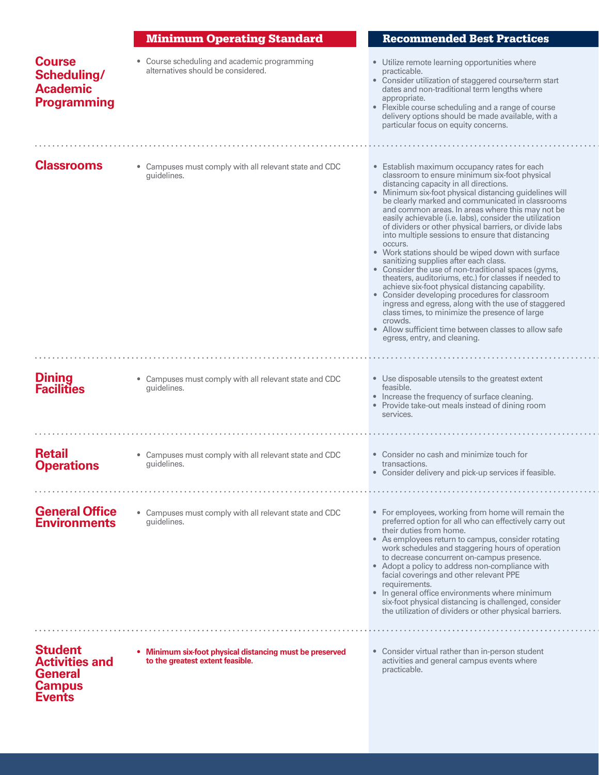|                                                                                             | <b>Minimum Operating Standard</b>                                                            | <b>Recommended Best Practices</b>                                                                                                                                                                                                                                                                                                                                                                                                                                                                                                                                                                                                                                                                                                                                                                                                                                                                                                                                                                                              |
|---------------------------------------------------------------------------------------------|----------------------------------------------------------------------------------------------|--------------------------------------------------------------------------------------------------------------------------------------------------------------------------------------------------------------------------------------------------------------------------------------------------------------------------------------------------------------------------------------------------------------------------------------------------------------------------------------------------------------------------------------------------------------------------------------------------------------------------------------------------------------------------------------------------------------------------------------------------------------------------------------------------------------------------------------------------------------------------------------------------------------------------------------------------------------------------------------------------------------------------------|
| <b>Course</b><br>Scheduling/<br><b>Academic</b><br><b>Programming</b>                       | • Course scheduling and academic programming<br>alternatives should be considered.           | • Utilize remote learning opportunities where<br>practicable.<br>• Consider utilization of staggered course/term start<br>dates and non-traditional term lengths where<br>appropriate.<br>• Flexible course scheduling and a range of course<br>delivery options should be made available, with a<br>particular focus on equity concerns.                                                                                                                                                                                                                                                                                                                                                                                                                                                                                                                                                                                                                                                                                      |
| <b>Classrooms</b>                                                                           | • Campuses must comply with all relevant state and CDC<br>quidelines.                        | • Establish maximum occupancy rates for each<br>classroom to ensure minimum six-foot physical<br>distancing capacity in all directions.<br>• Minimum six-foot physical distancing guidelines will<br>be clearly marked and communicated in classrooms<br>and common areas. In areas where this may not be<br>easily achievable (i.e. labs), consider the utilization<br>of dividers or other physical barriers, or divide labs<br>into multiple sessions to ensure that distancing<br>occurs.<br>• Work stations should be wiped down with surface<br>sanitizing supplies after each class.<br>• Consider the use of non-traditional spaces (gyms,<br>theaters, auditoriums, etc.) for classes if needed to<br>achieve six-foot physical distancing capability.<br>• Consider developing procedures for classroom<br>ingress and egress, along with the use of staggered<br>class times, to minimize the presence of large<br>crowds.<br>• Allow sufficient time between classes to allow safe<br>egress, entry, and cleaning. |
| <b>Dining</b><br><b>Facilities</b>                                                          | • Campuses must comply with all relevant state and CDC<br>quidelines.                        | • Use disposable utensils to the greatest extent<br>feasible.<br>• Increase the frequency of surface cleaning.<br>• Provide take-out meals instead of dining room<br>services.                                                                                                                                                                                                                                                                                                                                                                                                                                                                                                                                                                                                                                                                                                                                                                                                                                                 |
| <b>Retail</b><br><b>Operations</b>                                                          | • Campuses must comply with all relevant state and CDC<br>quidelines.                        | • Consider no cash and minimize touch for<br>transactions.<br>• Consider delivery and pick-up services if feasible.                                                                                                                                                                                                                                                                                                                                                                                                                                                                                                                                                                                                                                                                                                                                                                                                                                                                                                            |
| <b>General Office</b><br><b>Environments</b>                                                | • Campuses must comply with all relevant state and CDC<br>quidelines.                        | • For employees, working from home will remain the<br>preferred option for all who can effectively carry out<br>their duties from home.<br>• As employees return to campus, consider rotating<br>work schedules and staggering hours of operation<br>to decrease concurrent on-campus presence.<br>• Adopt a policy to address non-compliance with<br>facial coverings and other relevant PPE<br>requirements.<br>• In general office environments where minimum<br>six-foot physical distancing is challenged, consider<br>the utilization of dividers or other physical barriers.                                                                                                                                                                                                                                                                                                                                                                                                                                            |
| <b>Student</b><br><b>Activities and</b><br><b>General</b><br><b>Campus</b><br><b>Events</b> | • Minimum six-foot physical distancing must be preserved<br>to the greatest extent feasible. | • Consider virtual rather than in-person student<br>activities and general campus events where<br>practicable.                                                                                                                                                                                                                                                                                                                                                                                                                                                                                                                                                                                                                                                                                                                                                                                                                                                                                                                 |

 $\sim 10^{-1}$ 

 $\epsilon$  ,  $\epsilon$ 

 $\ddot{\phantom{a}}$ 

 $\epsilon$  ,  $\epsilon$